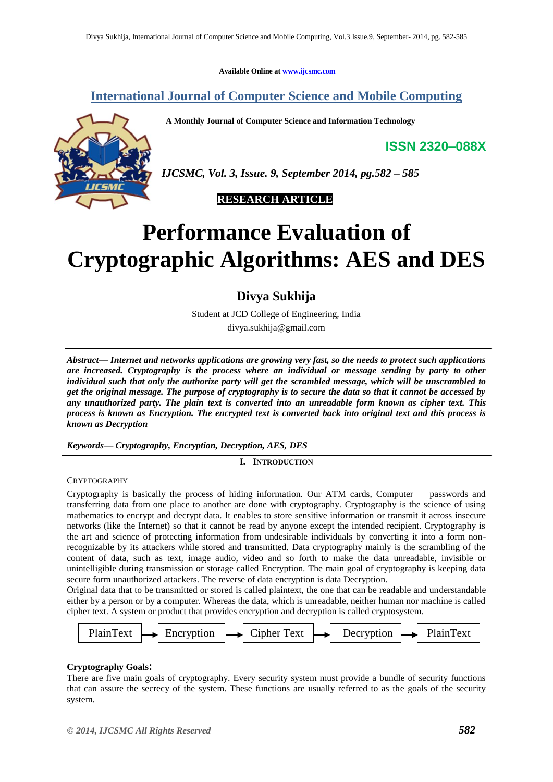**Available Online at [www.ijcsmc.com](http://www.ijcsmc.com/)**

**International Journal of Computer Science and Mobile Computing**

 **A Monthly Journal of Computer Science and Information Technology**

**ISSN 2320–088X**



*IJCSMC, Vol. 3, Issue. 9, September 2014, pg.582 – 585*



# **Performance Evaluation of Cryptographic Algorithms: AES and DES**

**Divya Sukhija**

Student at JCD College of Engineering, India

divya.sukhija@gmail.com

*Abstract— Internet and networks applications are growing very fast, so the needs to protect such applications are increased. Cryptography is the process where an individual or message sending by party to other individual such that only the authorize party will get the scrambled message, which will be unscrambled to get the original message. The purpose of cryptography is to secure the data so that it cannot be accessed by any unauthorized party. The plain text is converted into an unreadable form known as cipher text. This process is known as Encryption. The encrypted text is converted back into original text and this process is known as Decryption*

*Keywords— Cryptography, Encryption, Decryption, AES, DES*

# **I. INTRODUCTION**

CRYPTOGRAPHY

Cryptography is basically the process of hiding information. Our ATM cards, Computer passwords and transferring data from one place to another are done with cryptography. Cryptography is the science of using mathematics to encrypt and decrypt data. It enables to store sensitive information or transmit it across insecure networks (like the Internet) so that it cannot be read by anyone except the intended recipient. Cryptography is the art and science of protecting information from undesirable individuals by converting it into a form nonrecognizable by its attackers while stored and transmitted. Data cryptography mainly is the scrambling of the content of data, such as text, image audio, video and so forth to make the data unreadable, invisible or unintelligible during transmission or storage called Encryption. The main goal of cryptography is keeping data secure form unauthorized attackers. The reverse of data encryption is data Decryption.

Original data that to be transmitted or stored is called plaintext, the one that can be readable and understandable either by a person or by a computer. Whereas the data, which is unreadable, neither human nor machine is called cipher text. A system or product that provides encryption and decryption is called cryptosystem.



## **Cryptography Goals:**

Cryptography Goals.<br>There are five main goals of cryptography. Every security system must provide a bundle of security functions that can assure the secrecy of the system. These functions are usually referred to as the goals of the security system.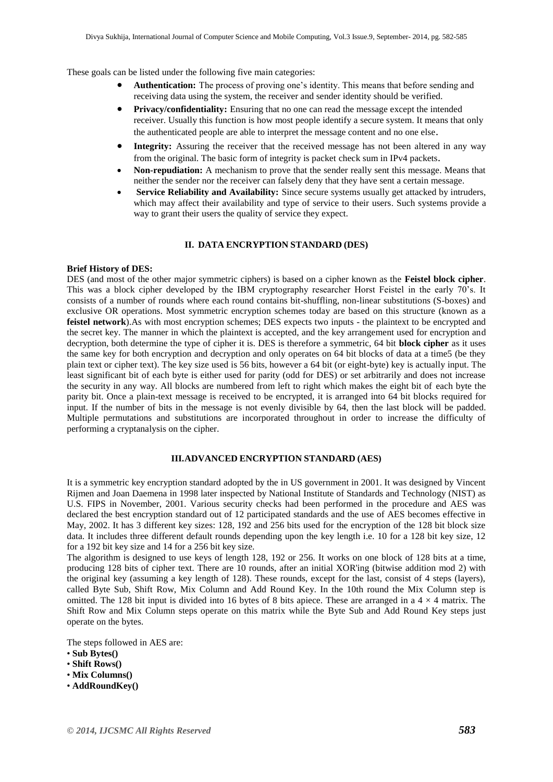These goals can be listed under the following five main categories:

- **Authentication:** The process of proving one's identity. This means that before sending and receiving data using the system, the receiver and sender identity should be verified.
- **Privacy/confidentiality:** Ensuring that no one can read the message except the intended receiver. Usually this function is how most people identify a secure system. It means that only the authenticated people are able to interpret the message content and no one else.
- **Integrity:** Assuring the receiver that the received message has not been altered in any way from the original. The basic form of integrity is packet check sum in IPv4 packets.
- **Non-repudiation:** A mechanism to prove that the sender really sent this message. Means that neither the sender nor the receiver can falsely deny that they have sent a certain message.
- **Service Reliability and Availability:** Since secure systems usually get attacked by intruders, which may affect their availability and type of service to their users. Such systems provide a way to grant their users the quality of service they expect.

#### **II. DATA ENCRYPTION STANDARD (DES)**

## **Brief History of DES:**

DES (and most of the other major symmetric ciphers) is based on a cipher known as the **Feistel block cipher**. This was a block cipher developed by the IBM cryptography researcher Horst Feistel in the early 70's. It consists of a number of rounds where each round contains bit-shuffling, non-linear substitutions (S-boxes) and exclusive OR operations. Most symmetric encryption schemes today are based on this structure (known as a **feistel network**).As with most encryption schemes; DES expects two inputs - the plaintext to be encrypted and the secret key. The manner in which the plaintext is accepted, and the key arrangement used for encryption and decryption, both determine the type of cipher it is. DES is therefore a symmetric, 64 bit **block cipher** as it uses the same key for both encryption and decryption and only operates on 64 bit blocks of data at a time5 (be they plain text or cipher text). The key size used is 56 bits, however a 64 bit (or eight-byte) key is actually input. The least significant bit of each byte is either used for parity (odd for DES) or set arbitrarily and does not increase the security in any way. All blocks are numbered from left to right which makes the eight bit of each byte the parity bit. Once a plain-text message is received to be encrypted, it is arranged into 64 bit blocks required for input. If the number of bits in the message is not evenly divisible by 64, then the last block will be padded. Multiple permutations and substitutions are incorporated throughout in order to increase the difficulty of performing a cryptanalysis on the cipher.

#### **III.ADVANCED ENCRYPTION STANDARD (AES)**

It is a symmetric key encryption standard adopted by the in US government in 2001. It was designed by Vincent Rijmen and Joan Daemena in 1998 later inspected by National Institute of Standards and Technology (NIST) as U.S. FIPS in November, 2001. Various security checks had been performed in the procedure and AES was declared the best encryption standard out of 12 participated standards and the use of AES becomes effective in May, 2002. It has 3 different key sizes: 128, 192 and 256 bits used for the encryption of the 128 bit block size data. It includes three different default rounds depending upon the key length i.e. 10 for a 128 bit key size, 12 for a 192 bit key size and 14 for a 256 bit key size.

The algorithm is designed to use keys of length 128, 192 or 256. It works on one block of 128 bits at a time, producing 128 bits of cipher text. There are 10 rounds, after an initial XOR'ing (bitwise addition mod 2) with the original key (assuming a key length of 128). These rounds, except for the last, consist of 4 steps (layers), called Byte Sub, Shift Row, Mix Column and Add Round Key. In the 10th round the Mix Column step is omitted. The 128 bit input is divided into 16 bytes of 8 bits apiece. These are arranged in a  $4 \times 4$  matrix. The Shift Row and Mix Column steps operate on this matrix while the Byte Sub and Add Round Key steps just operate on the bytes.

The steps followed in AES are:

- **Sub Bytes()**
- **Shift Rows()**
- **Mix Columns()**
- **AddRoundKey()**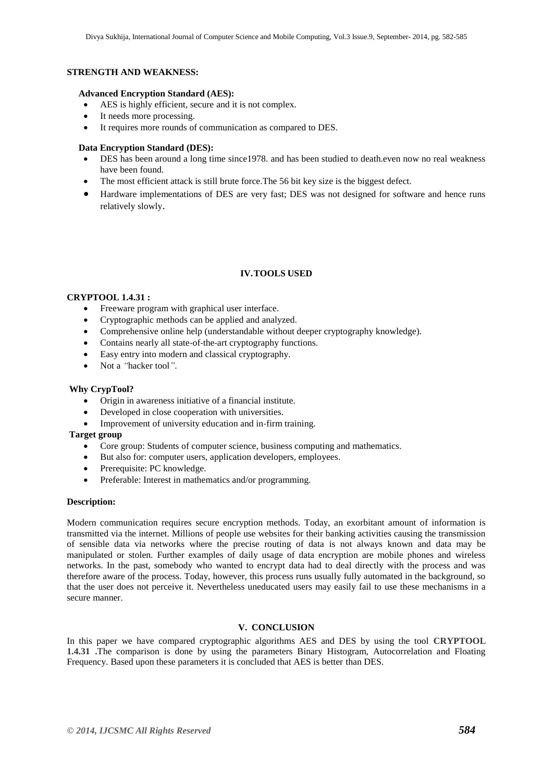## **STRENGTH AND WEAKNESS:**

#### **Advanced Encryption Standard (AES):**

- AES is highly efficient, secure and it is not complex.
- It needs more processing.
- It requires more rounds of communication as compared to DES.

## **Data Encryption Standard (DES):**

- DES has been around a long time since1978. and has been studied to death.even now no real weakness have been found.
- The most efficient attack is still brute force.The 56 bit key size is the biggest defect.
- Hardware implementations of DES are very fast; DES was not designed for software and hence runs relatively slowly.

# **IV.TOOLS USED**

### **CRYPTOOL 1.4.31 :**

- Freeware program with graphical user interface.
- Cryptographic methods can be applied and analyzed.
- Comprehensive online help (understandable without deeper cryptography knowledge).
- Contains nearly all state‐of‐the‐art cryptography functions.
- Easy entry into modern and classical cryptography.
- Not a *"*hacker tool*"*.

## **Why CrypTool?**

- Origin in awareness initiative of a financial institute.
- Developed in close cooperation with universities.
- Improvement of university education and in-firm training.

### **Target group**

- Core group: Students of computer science, business computing and mathematics.
- But also for: computer users, application developers, employees.
- Prerequisite: PC knowledge.
- Preferable: Interest in mathematics and/or programming.

#### **Description:**

Modern communication requires secure encryption methods. Today, an exorbitant amount of information is transmitted via the internet. Millions of people use websites for their banking activities causing the transmission of sensible data via networks where the precise routing of data is not always known and data may be manipulated or stolen. Further examples of daily usage of data encryption are mobile phones and wireless networks. In the past, somebody who wanted to encrypt data had to deal directly with the process and was therefore aware of the process. Today, however, this process runs usually fully automated in the background, so that the user does not perceive it. Nevertheless uneducated users may easily fail to use these mechanisms in a secure manner.

# **V. CONCLUSION**

In this paper we have compared cryptographic algorithms AES and DES by using the tool **CRYPTOOL 1.4.31 .**The comparison is done by using the parameters Binary Histogram, Autocorrelation and Floating Frequency. Based upon these parameters it is concluded that AES is better than DES.